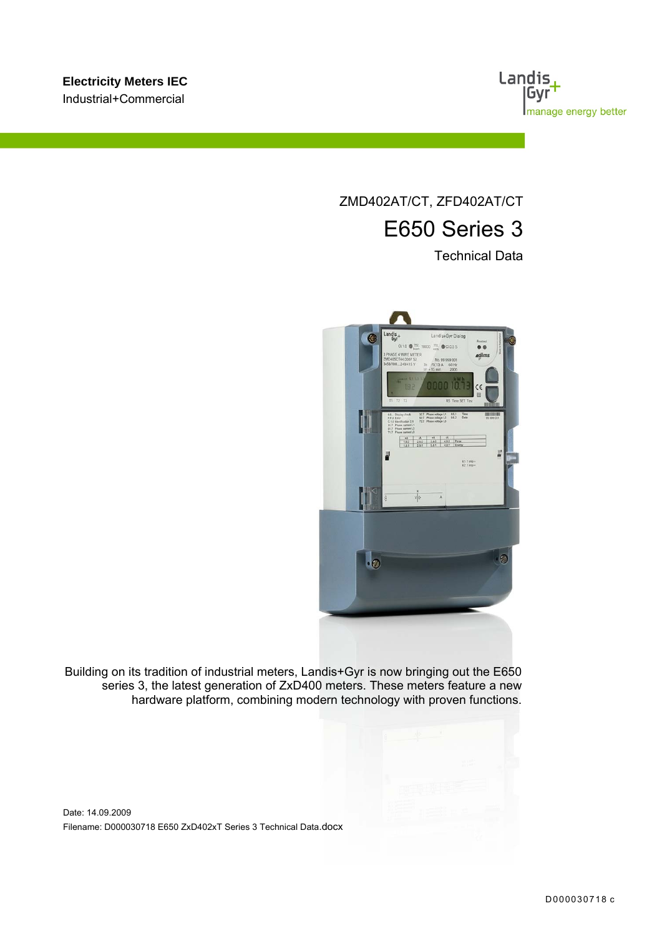

ZMD402AT/CT, ZFD402AT/CT E650 Series 3

Technical Data



Building on its tradition of industrial meters, Landis+Gyr is now bringing out the E650 series 3, the latest generation of ZxD400 meters. These meters feature a new hardware platform, combining modern technology with proven functions.

Date: 14.09.2009 Filename: D000030718 E650 ZxD402xT Series 3 Technical Data.docx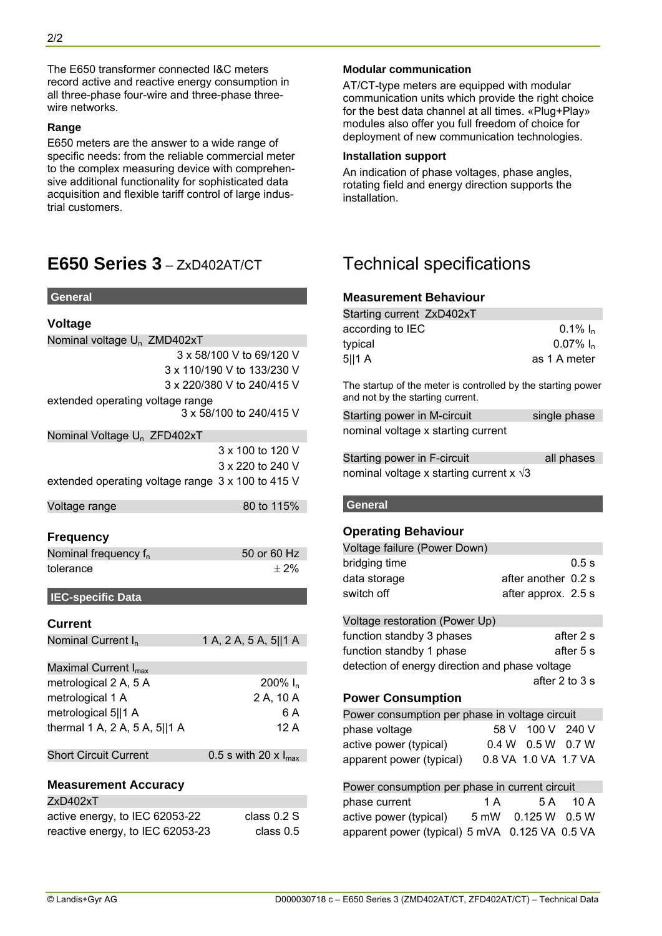The E650 transformer connected I&C meters record active and reactive energy consumption in all three-phase four-wire and three-phase threewire networks.

#### **Range**

E650 meters are the answer to a wide range of specific needs: from the reliable commercial meter to the complex measuring device with comprehensive additional functionality for sophisticated data acquisition and flexible tariff control of large industrial customers.

## **E650 Series 3** – ZxD402AT/CT Technical specifications

#### **General**

| <b>Voltage</b>                                    |                            |
|---------------------------------------------------|----------------------------|
| Nominal voltage U <sub>n</sub> ZMD402xT           |                            |
|                                                   | 3 x 58/100 V to 69/120 V   |
|                                                   | 3 x 110/190 V to 133/230 V |
|                                                   | 3 x 220/380 V to 240/415 V |
| extended operating voltage range                  |                            |
|                                                   | 3 x 58/100 to 240/415 V    |
| Nominal Voltage U <sub>n</sub> ZFD402xT           |                            |
|                                                   | 3 x 100 to 120 V           |
|                                                   | 3 x 220 to 240 V           |
| extended operating voltage range 3 x 100 to 415 V |                            |
| Voltage range                                     | 80 to 115%                 |
|                                                   |                            |
| <b>Frequency</b>                                  |                            |
| Nominal frequency $f_n$                           | 50 or 60 Hz                |
| tolerance                                         | $±2\%$                     |
| <b>IEC-specific Data</b>                          |                            |
| <b>Current</b>                                    |                            |
| Nominal Current I <sub>n</sub>                    | 1 A, 2 A, 5 A, 5  1 A      |
| Maximal Current I <sub>max</sub>                  |                            |
| metrological 2 A, 5 A                             | $200\%$ I <sub>n</sub>     |
| metrological 1 A                                  | 2 A, 10 A                  |
| metrological 5  1 A                               | 6 A                        |
| thermal 1 A, 2 A, 5 A, 5  1 A                     | 12 A                       |
| <b>Short Circuit Current</b>                      | 0.5 s with 20 x $I_{max}$  |
|                                                   |                            |
| <b>Measurement Accuracy</b>                       |                            |
| ZxD402xT                                          |                            |
| active energy, to IEC 62053-22                    | class 0.2 S                |
| reactive energy, to IEC 62053-23                  | class 0.5                  |

#### **Modular communication**

AT/CT-type meters are equipped with modular communication units which provide the right choice for the best data channel at all times. «Plug+Play» modules also offer you full freedom of choice for deployment of new communication technologies.

#### **Installation support**

An indication of phase voltages, phase angles, rotating field and energy direction supports the installation.

#### **Measurement Behaviour**

| Starting current ZxD402xT |                         |
|---------------------------|-------------------------|
| according to IEC          | 0.1% $I_n$              |
| typical                   | $0.07\%$ I <sub>n</sub> |
| 5  1 A                    | as 1 A meter            |
|                           |                         |

The startup of the meter is controlled by the starting power and not by the starting current.

| Starting power in M-circuit        | single phase |
|------------------------------------|--------------|
| nominal voltage x starting current |              |

Starting power in F-circuit all phases nominal voltage x starting current x  $\sqrt{3}$ 

#### **General**

#### **Operating Behaviour**

| Voltage failure (Power Down)   |                     |       |
|--------------------------------|---------------------|-------|
| bridging time                  |                     | 0.5 s |
| data storage                   | after another 0.2 s |       |
| switch off                     | after approx. 2.5 s |       |
|                                |                     |       |
| Voltage restoration (Power Up) |                     |       |

| function standby 3 phases                       |                         | after 2 s      |
|-------------------------------------------------|-------------------------|----------------|
| function standby 1 phase                        |                         | after 5 s      |
| detection of energy direction and phase voltage |                         |                |
|                                                 |                         | after 2 to 3 s |
| <b>Power Consumption</b>                        |                         |                |
| Power consumption per phase in voltage circuit  |                         |                |
| phase voltage                                   | 58 V 100 V 240 V        |                |
| active power (typical)                          | $0.4 W$ $0.5 W$ $0.7 W$ |                |
|                                                 |                         |                |

| Power consumption per phase in current circuit |     |                      |          |
|------------------------------------------------|-----|----------------------|----------|
| phase current                                  | 1 A |                      | 5 A 10 A |
| active power (typical)                         |     | 5 mW  0.125 W  0.5 W |          |
| apparent power (typical) 5 mVA 0.125 VA 0.5 VA |     |                      |          |

apparent power (typical) 0.8 VA 1.0 VA 1.7 VA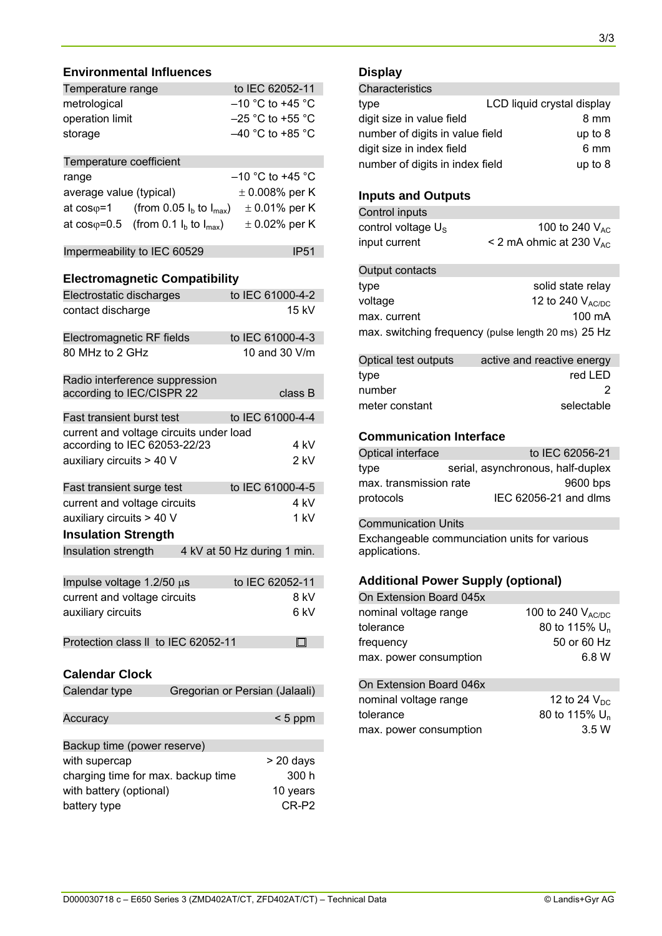#### **Environmental Influences**

| Temperature range                                                       | to IEC 62052-11                |
|-------------------------------------------------------------------------|--------------------------------|
| metrological                                                            | $-10$ °C to +45 °C             |
| operation limit                                                         | $-25$ °C to +55 °C             |
|                                                                         | $-40$ °C to +85 °C             |
| storage                                                                 |                                |
| Temperature coefficient                                                 |                                |
| range                                                                   | $-10$ °C to +45 °C             |
| average value (typical)                                                 | $\pm$ 0.008% per K             |
| at $cos\varphi = 1$<br>(from 0.05 $I_b$ to $I_{max}$ )                  | $\pm$ 0.01% per K              |
| at $cos\varphi = 0.5$ (from 0.1 $I_b$ to $I_{max}$ )                    | $\pm$ 0.02% per K              |
|                                                                         |                                |
| Impermeability to IEC 60529                                             | <b>IP51</b>                    |
|                                                                         |                                |
| <b>Electromagnetic Compatibility</b>                                    |                                |
| Electrostatic discharges                                                | to IEC 61000-4-2               |
| contact discharge                                                       | 15 kV                          |
| Electromagnetic RF fields                                               | to IEC 61000-4-3               |
| 80 MHz to 2 GHz                                                         | 10 and 30 V/m                  |
|                                                                         |                                |
| Radio interference suppression                                          |                                |
| according to IEC/CISPR 22                                               | class B                        |
| Fast transient burst test                                               | to IEC 61000-4-4               |
|                                                                         |                                |
| current and voltage circuits under load<br>according to IEC 62053-22/23 | 4 kV                           |
| auxiliary circuits > 40 V                                               | $2$ kV                         |
|                                                                         |                                |
| Fast transient surge test                                               | to IEC 61000-4-5               |
| current and voltage circuits                                            | 4 kV                           |
| auxiliary circuits > 40 V                                               | 1 kV                           |
| <b>Insulation Strength</b>                                              |                                |
| Insulation strength                                                     | 4 kV at 50 Hz during 1 min.    |
|                                                                         |                                |
| Impulse voltage $1.2/50 \mu s$                                          | to IEC 62052-11                |
| current and voltage circuits                                            | 8 kV                           |
| auxiliary circuits                                                      | 6 kV                           |
|                                                                         |                                |
| Protection class II to IEC 62052-11                                     | $\Box$                         |
|                                                                         |                                |
| <b>Calendar Clock</b>                                                   |                                |
| Calendar type                                                           | Gregorian or Persian (Jalaali) |
|                                                                         |                                |
| Accuracy                                                                | $< 5$ ppm                      |
|                                                                         |                                |
| Backup time (power reserve)                                             |                                |
| with supercap                                                           | > 20 days                      |
| charging time for max. backup time                                      | 300 h                          |
| with battery (optional)                                                 | 10 years                       |
| battery type                                                            | CR-P2                          |

## **Display**

| Characteristics                              |                            |
|----------------------------------------------|----------------------------|
| type                                         | LCD liquid crystal display |
| digit size in value field<br>8 mm            |                            |
| number of digits in value field<br>up to 8   |                            |
| digit size in index field<br>6 mm            |                            |
| number of digits in index field<br>up to $8$ |                            |

#### **Inputs and Outputs**

| Control inputs        |                                   |
|-----------------------|-----------------------------------|
| control voltage $U_s$ | 100 to 240 $V_{AC}$               |
| input current         | $\leq$ 2 mA ohmic at 230 $V_{AC}$ |

| Output contacts                                     |                   |
|-----------------------------------------------------|-------------------|
| type                                                | solid state relay |
| voltage                                             | 12 to 240 VAC/DC  |
| max. current                                        | $100 \text{ mA}$  |
| max. switching frequency (pulse length 20 ms) 25 Hz |                   |

| Optical test outputs | active and reactive energy |
|----------------------|----------------------------|
| type                 | red LED                    |
| number               |                            |
| meter constant       | selectable                 |

#### **Communication Interface**

| Optical interface      | to IEC 62056-21                   |
|------------------------|-----------------------------------|
| type                   | serial, asynchronous, half-duplex |
| max. transmission rate | 9600 bps                          |
| protocols              | IEC 62056-21 and dlms             |

Communication Units

Exchangeable communciation units for various applications.

### **Additional Power Supply (optional)**

| On Extension Board 045x |                           |
|-------------------------|---------------------------|
| nominal voltage range   | 100 to 240 $V_{AC/DC}$    |
| tolerance               | 80 to 115% U <sub>n</sub> |
| frequency               | 50 or 60 Hz               |
| max. power consumption  | 6.8 W                     |
| On Extension Board 046x |                           |
| nominal voltage range   | 12 to 24 $V_{DC}$         |
| tolerance               | 80 to 115% U <sub>n</sub> |
| max. power consumption  | 3.5W                      |
|                         |                           |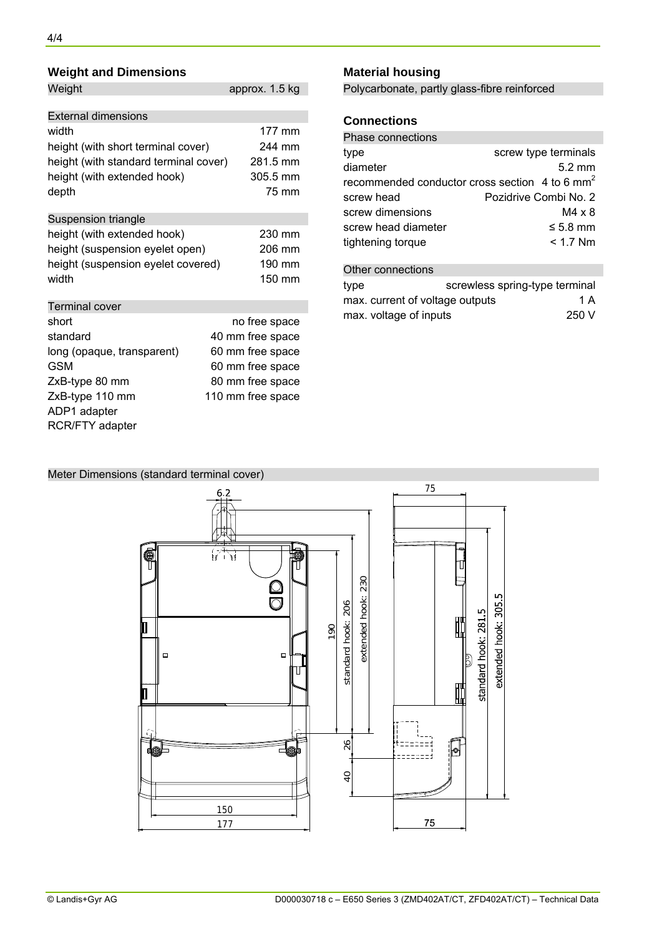| <b>Weight and Dimensions</b>                                                                                                                                   |                  |                                                                                                                    | <b>Material housing</b> |                                                           |                                              |                                                                                                                                 |  |
|----------------------------------------------------------------------------------------------------------------------------------------------------------------|------------------|--------------------------------------------------------------------------------------------------------------------|-------------------------|-----------------------------------------------------------|----------------------------------------------|---------------------------------------------------------------------------------------------------------------------------------|--|
| Weight                                                                                                                                                         |                  | approx. 1.5 kg                                                                                                     |                         |                                                           | Polycarbonate, partly glass-fibre reinforced |                                                                                                                                 |  |
| <b>External dimensions</b>                                                                                                                                     |                  |                                                                                                                    | <b>Connections</b>      |                                                           |                                              |                                                                                                                                 |  |
| width<br>height (with short terminal cover)<br>height (with standard terminal cover)<br>height (with extended hook)<br>depth                                   |                  | 177 mm<br>244 mm<br>281.5 mm<br>305.5 mm<br>75 mm                                                                  |                         | type<br>diameter                                          | <b>Phase connections</b><br>screw head       | screw type terminals<br>$5.2 \text{ mm}$<br>recommended conductor cross section 4 to 6 mm <sup>2</sup><br>Pozidrive Combi No. 2 |  |
| Suspension triangle<br>height (with extended hook)<br>height (suspension eyelet open)                                                                          | 230 mm<br>206 mm | screw dimensions<br>screw head diameter<br>tightening torque                                                       |                         |                                                           | $M4 \times 8$<br>$\leq 5.8$ mm<br>$< 1.7$ Nm |                                                                                                                                 |  |
| height (suspension eyelet covered)<br>width                                                                                                                    | 190 mm<br>150 mm |                                                                                                                    |                         | Other connections<br>type                                 |                                              | screwless spring-type terminal                                                                                                  |  |
| <b>Terminal cover</b><br>short<br>standard<br>long (opaque, transparent)<br><b>GSM</b><br>ZxB-type 80 mm<br>ZxB-type 110 mm<br>ADP1 adapter<br>RCR/FTY adapter |                  | no free space<br>40 mm free space<br>60 mm free space<br>60 mm free space<br>80 mm free space<br>110 mm free space |                         | max. current of voltage outputs<br>max. voltage of inputs |                                              | 1 A<br>250 V                                                                                                                    |  |

### **Connections**

| <b>Phase connections</b>               |                                                              |  |
|----------------------------------------|--------------------------------------------------------------|--|
| type                                   | screw type terminals                                         |  |
| diameter                               | $5.2 \text{ mm}$                                             |  |
|                                        | recommended conductor cross section $4$ to 6 mm <sup>2</sup> |  |
| screw head                             | Pozidrive Combi No. 2                                        |  |
| screw dimensions                       | $M4 \times 8$                                                |  |
| screw head diameter                    | $\leq 5.8$ mm                                                |  |
| tightening torque                      | $< 1.7$ Nm                                                   |  |
|                                        |                                                              |  |
| Other connections                      |                                                              |  |
| type                                   | screwless spring-type terminal                               |  |
| 1 A<br>max. current of voltage outputs |                                                              |  |
| max, voltage of inputs                 | 250 V                                                        |  |

#### Meter Dimensions (standard terminal cover)

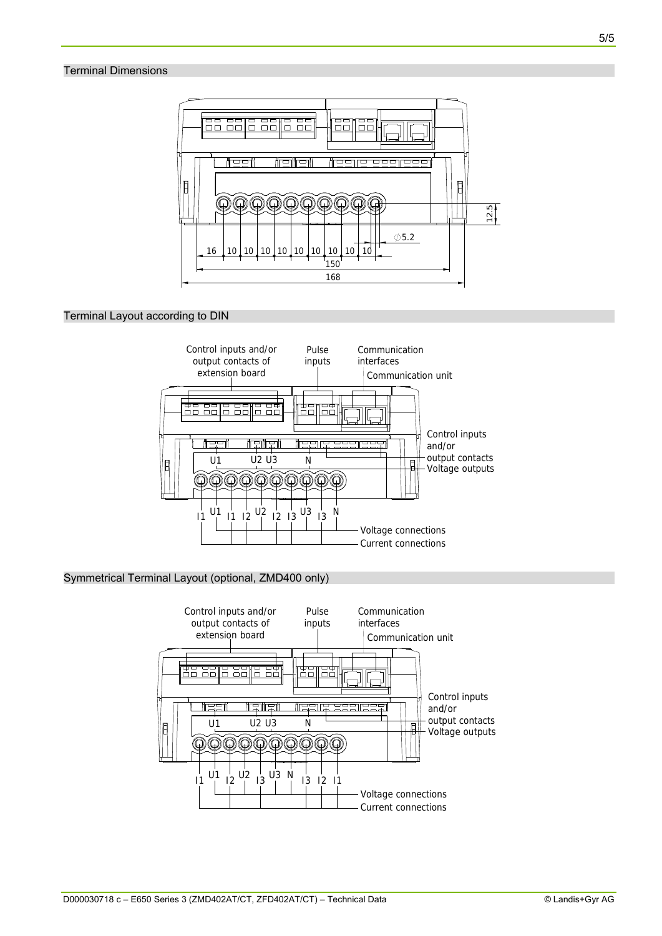#### Terminal Dimensions



#### Terminal Layout according to DIN



#### Symmetrical Terminal Layout (optional, ZMD400 only)